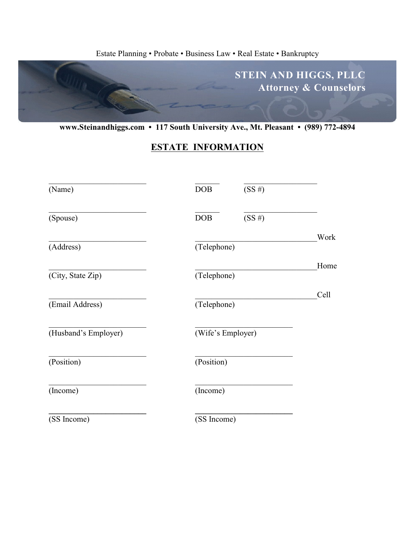#### Estate Planning • Probate • Business Law • Real Estate • Bankruptcy



**www.Steinandhiggs.com • 117 South University Ave., Mt. Pleasant • (989) 772-4894**

# **ESTATE INFORMATION**

| (Name)               | DOB<br>(SS#)        |      |
|----------------------|---------------------|------|
| (Spouse)             | (SS#)<br><b>DOB</b> |      |
| (Address)            | (Telephone)         | Work |
| (City, State Zip)    | (Telephone)         | Home |
| (Email Address)      | (Telephone)         | Cell |
| (Husband's Employer) | (Wife's Employer)   |      |
| (Position)           | (Position)          |      |
| (Income)             | (Income)            |      |
| (SS Income)          | (SS Income)         |      |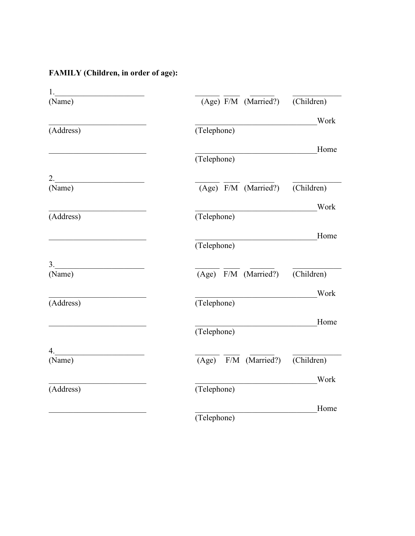# FAMILY (Children, in order of age):

| 1. <u>_________________</u> |                                    |
|-----------------------------|------------------------------------|
| (Name)                      | (Age) F/M (Married?)<br>(Children) |
|                             | Work                               |
| (Address)                   | (Telephone)                        |
|                             | Home                               |
|                             | (Telephone)                        |
| 2. $\qquad \qquad$          |                                    |
| (Name)                      | (Age) F/M (Married?)<br>(Children) |
|                             | Work                               |
| (Address)                   | (Telephone)                        |
|                             | Home                               |
|                             | (Telephone)                        |
| $\overline{\mathbf{3.}}$    |                                    |
| (Name)                      | (Age) F/M (Married?)<br>(Children) |
|                             | Work                               |
| (Address)                   | (Telephone)                        |
|                             | Home                               |
|                             | (Telephone)                        |
| 4. $\qquad \qquad$          |                                    |
| (Name)                      | (Age) F/M (Married?)<br>(Children) |
|                             | Work                               |
| (Address)                   | (Telephone)                        |
|                             | Home                               |
|                             | (Telephone)                        |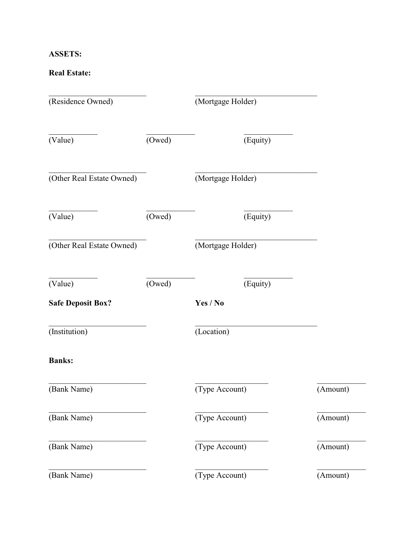### **ASSETS:**

#### **Real Estate:**

| (Residence Owned)         |        | (Mortgage Holder) |          |
|---------------------------|--------|-------------------|----------|
| (Value)                   | (Owed) | (Equity)          |          |
| (Other Real Estate Owned) |        | (Mortgage Holder) |          |
| (Value)                   | (Owed) | (Equity)          |          |
| (Other Real Estate Owned) |        | (Mortgage Holder) |          |
| (Value)                   | (Owed) | (Equity)          |          |
| <b>Safe Deposit Box?</b>  |        | Yes / No          |          |
| (Institution)             |        | (Location)        |          |
| <b>Banks:</b>             |        |                   |          |
| (Bank Name)               |        | (Type Account)    | (Amount) |
| (Bank Name)               |        | (Type Account)    | (Amount) |
| (Bank Name)               |        | (Type Account)    | (Amount) |
| (Bank Name)               |        | (Type Account)    | (Amount) |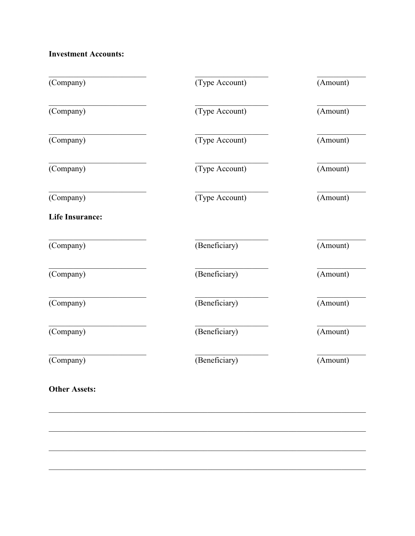**Investment Accounts:** 

| (Company)              | (Type Account) | (Amount) |
|------------------------|----------------|----------|
| (Company)              | (Type Account) | (Amount) |
| (Company)              | (Type Account) | (Amount) |
| (Company)              | (Type Account) | (Amount) |
| (Company)              | (Type Account) | (Amount) |
| <b>Life Insurance:</b> |                |          |
| (Company)              | (Beneficiary)  | (Amount) |
| (Company)              | (Beneficiary)  | (Amount) |
| (Company)              | (Beneficiary)  | (Amount) |
| (Company)              | (Beneficiary)  | (Amount) |
| (Company)              | (Beneficiary)  | (Amount) |
| <b>Other Assets:</b>   |                |          |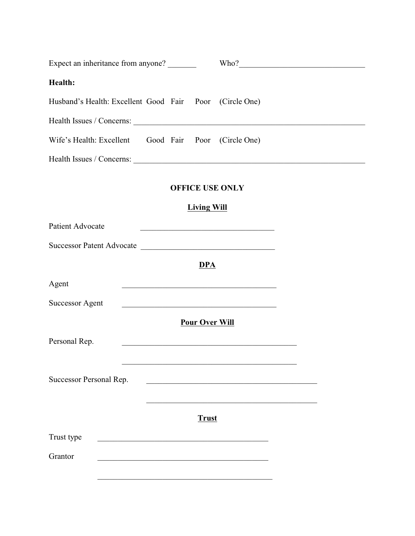| Expect an inheritance from anyone?                                                                                                                                                                                                                 |                       | Who?                                                                                                                 |  |
|----------------------------------------------------------------------------------------------------------------------------------------------------------------------------------------------------------------------------------------------------|-----------------------|----------------------------------------------------------------------------------------------------------------------|--|
| Health:                                                                                                                                                                                                                                            |                       |                                                                                                                      |  |
| Husband's Health: Excellent Good Fair Poor (Circle One)                                                                                                                                                                                            |                       |                                                                                                                      |  |
|                                                                                                                                                                                                                                                    |                       |                                                                                                                      |  |
| Wife's Health: Excellent Good Fair Poor (Circle One)                                                                                                                                                                                               |                       |                                                                                                                      |  |
|                                                                                                                                                                                                                                                    |                       |                                                                                                                      |  |
|                                                                                                                                                                                                                                                    |                       | <b>OFFICE USE ONLY</b>                                                                                               |  |
|                                                                                                                                                                                                                                                    | <b>Living Will</b>    |                                                                                                                      |  |
| Patient Advocate                                                                                                                                                                                                                                   |                       |                                                                                                                      |  |
| Successor Patent Advocate                                                                                                                                                                                                                          |                       |                                                                                                                      |  |
|                                                                                                                                                                                                                                                    | <b>DPA</b>            |                                                                                                                      |  |
| Agent                                                                                                                                                                                                                                              |                       | <u> 1989 - Johann Barbara, martin din bashkar (b. 1989)</u>                                                          |  |
| <b>Successor Agent</b>                                                                                                                                                                                                                             |                       |                                                                                                                      |  |
|                                                                                                                                                                                                                                                    | <b>Pour Over Will</b> |                                                                                                                      |  |
| Personal Rep.                                                                                                                                                                                                                                      |                       | <u> 2000 - Jan Barat, margaret eta martxean eta martxean eta martxean eta martxean eta martxean eta martxean eta</u> |  |
|                                                                                                                                                                                                                                                    |                       |                                                                                                                      |  |
| Successor Personal Rep.                                                                                                                                                                                                                            |                       | <u> 2008 - Johann Stone, martin de Brasilia (h. 1878).</u>                                                           |  |
|                                                                                                                                                                                                                                                    |                       |                                                                                                                      |  |
|                                                                                                                                                                                                                                                    | <b>Trust</b>          |                                                                                                                      |  |
| Trust type<br><u> 1989 - Johann John Stein, mars et al. 1989 - John Stein, mars et al. 1989 - John Stein, mars et al. 1989 - John Stein, mars et al. 1989 - John Stein, mars et al. 1989 - John Stein, mars et al. 1989 - John Stein, mars et </u> |                       |                                                                                                                      |  |
| Grantor                                                                                                                                                                                                                                            |                       |                                                                                                                      |  |
|                                                                                                                                                                                                                                                    |                       |                                                                                                                      |  |